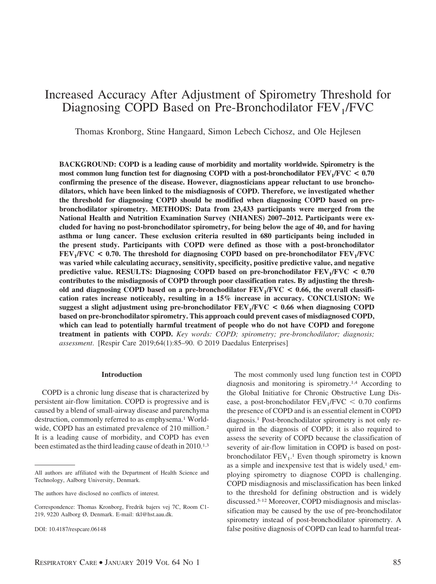# Increased Accuracy After Adjustment of Spirometry Threshold for Diagnosing COPD Based on Pre-Bronchodilator FEV<sub>1</sub>/FVC

Thomas Kronborg, Stine Hangaard, Simon Lebech Cichosz, and Ole Hejlesen

**BACKGROUND: COPD is a leading cause of morbidity and mortality worldwide. Spirometry is the** most common lung function test for diagnosing COPD with a post-bronchodilator  $FEV_1/FVC < 0.70$ **confirming the presence of the disease. However, diagnosticians appear reluctant to use bronchodilators, which have been linked to the misdiagnosis of COPD. Therefore, we investigated whether the threshold for diagnosing COPD should be modified when diagnosing COPD based on prebronchodilator spirometry. METHODS: Data from 23,433 participants were merged from the National Health and Nutrition Examination Survey (NHANES) 2007–2012. Participants were excluded for having no post-bronchodilator spirometry, for being below the age of 40, and for having asthma or lung cancer. These exclusion criteria resulted in 680 participants being included in the present study. Participants with COPD were defined as those with a post-bronchodilator**  $FEV<sub>1</sub>/FVC$  < 0.70. The threshold for diagnosing COPD based on pre-bronchodilator  $FEV<sub>1</sub>/FVC$ **was varied while calculating accuracy, sensitivity, specificity, positive predictive value, and negative predictive value. RESULTS: Diagnosing COPD based on pre-bronchodilator FEV1/FVC < 0.70 contributes to the misdiagnosis of COPD through poor classification rates. By adjusting the thresh**old and diagnosing COPD based on a pre-bronchodilator  $FEV<sub>1</sub>/FVC < 0.66$ , the overall classifi**cation rates increase noticeably, resulting in a 15% increase in accuracy. CONCLUSION: We suggest a slight adjustment using pre-bronchodilator FEV1/FVC < 0.66 when diagnosing COPD based on pre-bronchodilator spirometry. This approach could prevent cases of misdiagnosed COPD, which can lead to potentially harmful treatment of people who do not have COPD and foregone treatment in patients with COPD.** *Key words: COPD; spirometry; pre-bronchodilator; diagnosis; assessment*. [Respir Care 2019;64(1):85–90. © 2019 Daedalus Enterprises]

## **Introduction**

COPD is a chronic lung disease that is characterized by persistent air-flow limitation. COPD is progressive and is caused by a blend of small-airway disease and parenchyma destruction, commonly referred to as emphysema.<sup>1</sup> Worldwide, COPD has an estimated prevalence of 210 million.<sup>2</sup> It is a leading cause of morbidity, and COPD has even been estimated as the third leading cause of death in 2010.<sup>1,3</sup>

The most commonly used lung function test in COPD diagnosis and monitoring is spirometry.1,4 According to the Global Initiative for Chronic Obstructive Lung Disease, a post-bronchodilator  $FEV_1/FVC < 0.70$  confirms the presence of COPD and is an essential element in COPD diagnosis.1 Post-bronchodilator spirometry is not only required in the diagnosis of COPD; it is also required to assess the severity of COPD because the classification of severity of air-flow limitation in COPD is based on postbronchodilator  $FEV_1$ .<sup>1</sup> Even though spirometry is known as a simple and inexpensive test that is widely used, $1$  employing spirometry to diagnose COPD is challenging. COPD misdiagnosis and misclassification has been linked to the threshold for defining obstruction and is widely discussed.5-12 Moreover, COPD misdiagnosis and misclassification may be caused by the use of pre-bronchodilator spirometry instead of post-bronchodilator spirometry. A false positive diagnosis of COPD can lead to harmful treat-

All authors are affiliated with the Department of Health Science and Technology, Aalborg University, Denmark.

The authors have disclosed no conflicts of interest.

Correspondence: Thomas Kronborg, Fredrik bajers vej 7C, Room C1- 219, 9220 Aalborg Ø, Denmark. E-mail: tkl@hst.aau.dk.

DOI: 10.4187/respcare.06148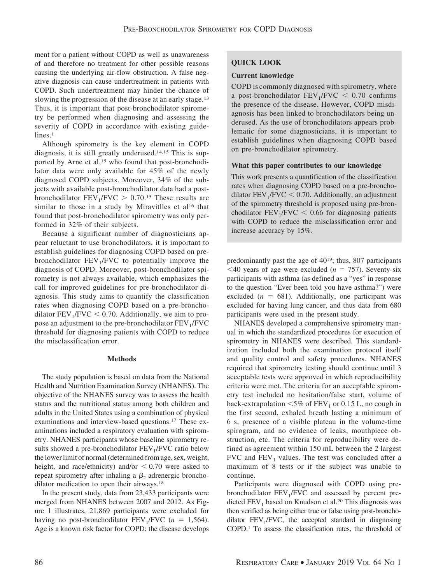ment for a patient without COPD as well as unawareness of and therefore no treatment for other possible reasons causing the underlying air-flow obstruction. A false negative diagnosis can cause undertreatment in patients with COPD. Such undertreatment may hinder the chance of slowing the progression of the disease at an early stage.<sup>13</sup> Thus, it is important that post-bronchodilator spirometry be performed when diagnosing and assessing the severity of COPD in accordance with existing guidelines.<sup>1</sup>

Although spirometry is the key element in COPD diagnosis, it is still greatly underused.14,15 This is supported by Arne et al,<sup>15</sup> who found that post-bronchodilator data were only available for 45% of the newly diagnosed COPD subjects. Moreover, 34% of the subjects with available post-bronchodilator data had a postbronchodilator  $FEV_1/FVC > 0.70$ .<sup>15</sup> These results are similar to those in a study by Miravitlles et al<sup>16</sup> that found that post-bronchodilator spirometry was only performed in 32% of their subjects.

Because a significant number of diagnosticians appear reluctant to use bronchodilators, it is important to establish guidelines for diagnosing COPD based on prebronchodilator  $FEV<sub>1</sub>/FVC$  to potentially improve the diagnosis of COPD. Moreover, post-bronchodilator spirometry is not always available, which emphasizes the call for improved guidelines for pre-bronchodilator diagnosis. This study aims to quantify the classification rates when diagnosing COPD based on a pre-bronchodilator  $FEV<sub>1</sub>/FVC < 0.70$ . Additionally, we aim to propose an adjustment to the pre-bronchodilator  $FEV<sub>1</sub>/FVC$ threshold for diagnosing patients with COPD to reduce the misclassification error.

## **Methods**

The study population is based on data from the National Health and Nutrition Examination Survey (NHANES). The objective of the NHANES survey was to assess the health status and the nutritional status among both children and adults in the United States using a combination of physical examinations and interview-based questions.17 These examinations included a respiratory evaluation with spirometry. NHANES participants whose baseline spirometry results showed a pre-bronchodilator  $FEV<sub>1</sub>/FVC$  ratio below the lower limit of normal (determined from age, sex, weight, height, and race/ethnicity) and/or  $\leq 0.70$  were asked to repeat spirometry after inhaling a  $\beta_2$  adrenergic bronchodilator medication to open their airways.<sup>18</sup>

In the present study, data from 23,433 participants were merged from NHANES between 2007 and 2012. As Figure 1 illustrates, 21,869 participants were excluded for having no post-bronchodilator  $FEV_1/FVC$  ( $n = 1,564$ ). Age is a known risk factor for COPD; the disease develops

## **QUICK LOOK**

#### **Current knowledge**

COPD is commonly diagnosed with spirometry, where a post-bronchodilator  $FEV_1/FVC < 0.70$  confirms the presence of the disease. However, COPD misdiagnosis has been linked to bronchodilators being underused. As the use of bronchodilators appears problematic for some diagnosticians, it is important to establish guidelines when diagnosing COPD based on pre-bronchodilator spirometry.

### **What this paper contributes to our knowledge**

This work presents a quantification of the classification rates when diagnosing COPD based on a pre-bronchodilator  $FEV_1/FVC < 0.70$ . Additionally, an adjustment of the spirometry threshold is proposed using pre-bronchodilator  $FEV_1/FVC < 0.66$  for diagnosing patients with COPD to reduce the misclassification error and increase accuracy by 15%.

predominantly past the age of 4019; thus, 807 participants  $\leq$ 40 years of age were excluded ( $n = 757$ ). Seventy-six participants with asthma (as defined as a "yes" in response to the question "Ever been told you have asthma?") were excluded  $(n = 681)$ . Additionally, one participant was excluded for having lung cancer, and thus data from 680 participants were used in the present study.

NHANES developed a comprehensive spirometry manual in which the standardized procedures for execution of spirometry in NHANES were described. This standardization included both the examination protocol itself and quality control and safety procedures. NHANES required that spirometry testing should continue until 3 acceptable tests were approved in which reproducibility criteria were met. The criteria for an acceptable spirometry test included no hesitation/false start, volume of back-extrapolation  $\leq 5\%$  of FEV<sub>1</sub> or 0.15 L, no cough in the first second, exhaled breath lasting a minimum of 6 s, presence of a visible plateau in the volume-time spirogram, and no evidence of leaks, mouthpiece obstruction, etc. The criteria for reproducibility were defined as agreement within 150 mL between the 2 largest FVC and  $FEV<sub>1</sub>$  values. The test was concluded after a maximum of 8 tests or if the subject was unable to continue.

Participants were diagnosed with COPD using prebronchodilator  $FEV_1/FVC$  and assessed by percent predicted  $FEV<sub>1</sub>$  based on Knudson et al.<sup>20</sup> This diagnosis was then verified as being either true or false using post-bronchodilator  $FEV<sub>1</sub>/FVC$ , the accepted standard in diagnosing COPD.1 To assess the classification rates, the threshold of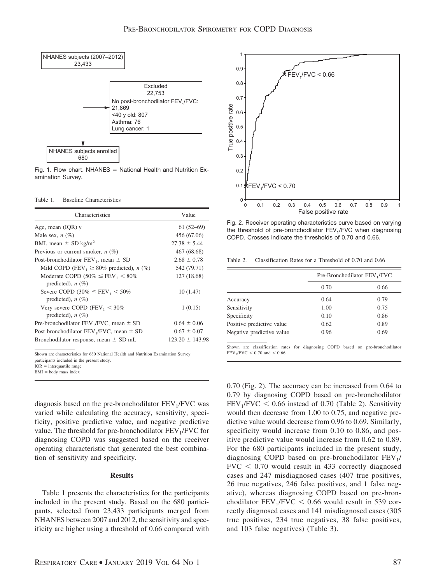

Fig. 1. Flow chart. NHANES  $=$  National Health and Nutrition Examination Survey.

Table 1. Baseline Characteristics

| Characteristics                                                         | Value               |
|-------------------------------------------------------------------------|---------------------|
| Age, mean $(IQR)$ y                                                     | $61(52-69)$         |
| Male sex, $n$ (%)                                                       | 456 (67.06)         |
| BMI, mean $\pm$ SD kg/m <sup>2</sup>                                    | $27.38 \pm 5.44$    |
| Previous or current smoker, $n$ (%)                                     | 467 (68.68)         |
| Post-bronchodilator $FEV_1$ , mean $\pm$ SD                             | $2.68 \pm 0.78$     |
| Mild COPD (FEV, $\geq 80\%$ predicted), <i>n</i> (%)                    | 542 (79.71)         |
| Moderate COPD $(50\% \leq FEV_1 < 80\%$<br>predicted), $n(\%)$          | 127 (18.68)         |
| Severe COPD (30% $\leq$ FEV <sub>1</sub> $<$ 50%<br>predicted), $n$ (%) | 10(1.47)            |
| Very severe COPD (FEV <sub>1</sub> $<$ 30%<br>predicted), $n$ (%)       | 1(0.15)             |
| Pre-bronchodilator $FEV_1/FVC$ , mean $\pm$ SD                          | $0.64 \pm 0.06$     |
| Post-bronchodilator $FEV_1/FVC$ , mean $\pm$ SD                         | $0.67 \pm 0.07$     |
| Bronchodilator response, mean $\pm$ SD mL                               | $123.20 \pm 143.98$ |

Shown are characteristics for 680 National Health and Nutrition Examination Survey

participants included in the present study.

 $IQR =$  interquartile range

 $BMI = body$  mass index

diagnosis based on the pre-bronchodilator  $FEV<sub>1</sub>/FVC$  was varied while calculating the accuracy, sensitivity, specificity, positive predictive value, and negative predictive value. The threshold for pre-bronchodilator  $FEV<sub>1</sub>/FVC$  for diagnosing COPD was suggested based on the receiver operating characteristic that generated the best combination of sensitivity and specificity.

#### **Results**

Table 1 presents the characteristics for the participants included in the present study. Based on the 680 participants, selected from 23,433 participants merged from NHANES between 2007 and 2012, the sensitivity and specificity are higher using a threshold of 0.66 compared with



Fig. 2. Receiver operating characteristics curve based on varying the threshold of pre-bronchodilator FEV<sub>1</sub>/FVC when diagnosing COPD. Crosses indicate the thresholds of 0.70 and 0.66.

Table 2. Classification Rates for a Threshold of 0.70 and 0.66

|                           | Pre-Bronchodilator FEV <sub>1</sub> /FVC |      |
|---------------------------|------------------------------------------|------|
|                           | 0.70                                     | 0.66 |
| Accuracy                  | 0.64                                     | 0.79 |
| Sensitivity               | 1.00                                     | 0.75 |
| Specificity               | 0.10                                     | 0.86 |
| Positive predictive value | 0.62                                     | 0.89 |
| Negative predictive value | 0.96                                     | 0.69 |

Shown are classification rates for diagnosing COPD based on pre-bronchodilator  $FEV<sub>1</sub>/FVC < 0.70$  and  $< 0.66$ .

0.70 (Fig. 2). The accuracy can be increased from 0.64 to 0.79 by diagnosing COPD based on pre-bronchodilator  $FEV<sub>1</sub>/FVC < 0.66$  instead of 0.70 (Table 2). Sensitivity would then decrease from 1.00 to 0.75, and negative predictive value would decrease from 0.96 to 0.69. Similarly, specificity would increase from 0.10 to 0.86, and positive predictive value would increase from 0.62 to 0.89. For the 680 participants included in the present study, diagnosing COPD based on pre-bronchodilator FEV<sub>1</sub>/  $FVC < 0.70$  would result in 433 correctly diagnosed cases and 247 misdiagnosed cases (407 true positives, 26 true negatives, 246 false positives, and 1 false negative), whereas diagnosing COPD based on pre-bronchodilator  $FEV_1/FVC < 0.66$  would result in 539 correctly diagnosed cases and 141 misdiagnosed cases (305 true positives, 234 true negatives, 38 false positives, and 103 false negatives) (Table 3).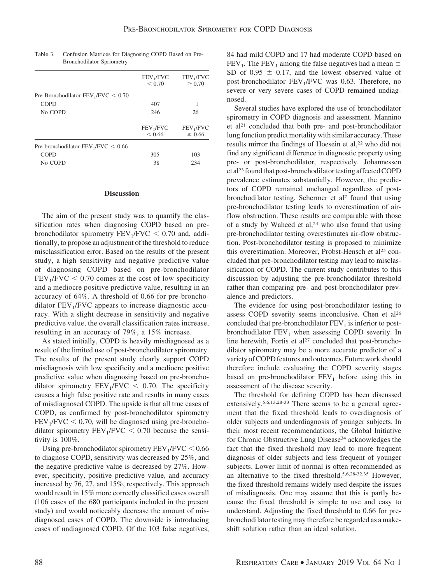|                                       | FEV <sub>1</sub> /FVC<br>< 0.70      | FEV <sub>1</sub> /FVC<br>$\geq 0.70$ |
|---------------------------------------|--------------------------------------|--------------------------------------|
| Pre-Bronchodilator $FEV_1/FVC < 0.70$ |                                      |                                      |
| <b>COPD</b>                           | 407                                  |                                      |
| No COPD                               | 246                                  | 26                                   |
|                                       | FEV <sub>1</sub> /FVC<br>${}_{0.66}$ | FEV <sub>1</sub> /FVC<br>$\geq 0.66$ |
| Pre-bronchodilator $FEV_1/FVC < 0.66$ |                                      |                                      |
| <b>COPD</b>                           | 305                                  | 103                                  |
| No COPD                               | 38                                   | 234                                  |

Table 3. Confusion Matrices for Diagnosing COPD Based on Pre-Bronchodilator Spriometry

#### **Discussion**

The aim of the present study was to quantify the classification rates when diagnosing COPD based on prebronchodilator spirometry  $FEV_1/FVC < 0.70$  and, additionally, to propose an adjustment of the threshold to reduce misclassification error. Based on the results of the present study, a high sensitivity and negative predictive value of diagnosing COPD based on pre-bronchodilator  $FEV<sub>1</sub>/FVC < 0.70$  comes at the cost of low specificity and a mediocre positive predictive value, resulting in an accuracy of 64%. A threshold of 0.66 for pre-bronchodilator  $FEV<sub>1</sub>/FVC$  appears to increase diagnostic accuracy. With a slight decrease in sensitivity and negative predictive value, the overall classification rates increase, resulting in an accuracy of 79%, a 15% increase.

As stated initially, COPD is heavily misdiagnosed as a result of the limited use of post-bronchodilator spirometry. The results of the present study clearly support COPD misdiagnosis with low specificity and a mediocre positive predictive value when diagnosing based on pre-bronchodilator spirometry  $FEV_1/FVC < 0.70$ . The specificity causes a high false positive rate and results in many cases of misdiagnosed COPD. The upside is that all true cases of COPD, as confirmed by post-bronchodilator spirometry  $FEV<sub>1</sub>/FVC < 0.70$ , will be diagnosed using pre-bronchodilator spirometry  $FEV_1/FVC < 0.70$  because the sensitivity is 100%.

Using pre-bronchodilator spirometry  $FEV_1/FVC < 0.66$ to diagnose COPD, sensitivity was decreased by 25%, and the negative predictive value is decreased by 27%. However, specificity, positive predictive value, and accuracy increased by 76, 27, and 15%, respectively. This approach would result in 15% more correctly classified cases overall (106 cases of the 680 participants included in the present study) and would noticeably decrease the amount of misdiagnosed cases of COPD. The downside is introducing cases of undiagnosed COPD. Of the 103 false negatives, 84 had mild COPD and 17 had moderate COPD based on FEV<sub>1</sub>. The FEV<sub>1</sub> among the false negatives had a mean  $\pm$ SD of  $0.95 \pm 0.17$ , and the lowest observed value of post-bronchodilator  $FEV<sub>1</sub>/FVC$  was 0.63. Therefore, no severe or very severe cases of COPD remained undiagnosed.

Several studies have explored the use of bronchodilator spirometry in COPD diagnosis and assessment. Mannino et al21 concluded that both pre- and post-bronchodilator lung function predict mortality with similar accuracy. These results mirror the findings of Hoesein et al,<sup>22</sup> who did not find any significant difference in diagnostic property using pre- or post-bronchodilator, respectively. Johannessen et al23 found that post-bronchodilator testing affected COPD prevalence estimates substantially. However, the predictors of COPD remained unchanged regardless of postbronchodilator testing. Schermer et al<sup>7</sup> found that using pre-bronchodilator testing leads to overestimation of airflow obstruction. These results are comparable with those of a study by Waheed et al,<sup>24</sup> who also found that using pre-bronchodilator testing overestimates air-flow obstruction. Post-bronchodilator testing is proposed to minimize this overestimation. Moreover, Probst-Hensch et al<sup>25</sup> concluded that pre-bronchodilator testing may lead to misclassification of COPD. The current study contributes to this discussion by adjusting the pre-bronchodilator threshold rather than comparing pre- and post-bronchodilator prevalence and predictors.

The evidence for using post-bronchodilator testing to assess COPD severity seems inconclusive. Chen et al<sup>26</sup> concluded that pre-bronchodilator  $FEV<sub>1</sub>$  is inferior to postbronchodilator  $FEV<sub>1</sub>$  when assessing COPD severity. In line herewith, Fortis et al<sup>27</sup> concluded that post-bronchodilator spirometry may be a more accurate predictor of a variety of COPD features and outcomes. Future work should therefore include evaluating the COPD severity stages based on pre-bronchodilator  $FEV<sub>1</sub>$  before using this in assessment of the disease severity.

The threshold for defining COPD has been discussed extensively.5,6,13,28-33 There seems to be a general agreement that the fixed threshold leads to overdiagnosis of older subjects and underdiagnosis of younger subjects. In their most recent recommendations, the Global Initiative for Chronic Obstructive Lung Disease<sup>34</sup> acknowledges the fact that the fixed threshold may lead to more frequent diagnosis of older subjects and less frequent of younger subjects. Lower limit of normal is often recommended as an alternative to the fixed threshold.5,6,28-32,35 However, the fixed threshold remains widely used despite the issues of misdiagnosis. One may assume that this is partly because the fixed threshold is simple to use and easy to understand. Adjusting the fixed threshold to 0.66 for prebronchodilator testing may therefore be regarded as a makeshift solution rather than an ideal solution.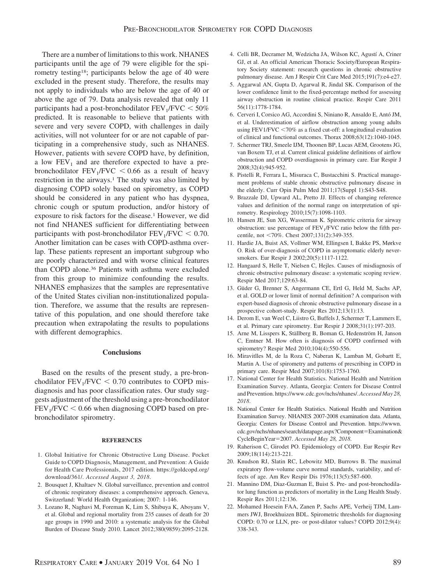There are a number of limitations to this work. NHANES participants until the age of 79 were eligible for the spirometry testing18; participants below the age of 40 were excluded in the present study. Therefore, the results may not apply to individuals who are below the age of 40 or above the age of 79. Data analysis revealed that only 11 participants had a post-bronchodilator  $\text{FEV}_1/\text{FVC} < 50\%$ predicted. It is reasonable to believe that patients with severe and very severe COPD, with challenges in daily activities, will not volunteer for or are not capable of participating in a comprehensive study, such as NHANES. However, patients with severe COPD have, by definition, a low  $FEV<sub>1</sub>$  and are therefore expected to have a prebronchodilator  $FEV_1/FVC < 0.66$  as a result of heavy restriction in the airways.<sup>1</sup> The study was also limited by diagnosing COPD solely based on spirometry, as COPD should be considered in any patient who has dyspnea, chronic cough or sputum production, and/or history of exposure to risk factors for the disease.<sup>1</sup> However, we did not find NHANES sufficient for differentiating between participants with post-bronchodilator  $FEV<sub>1</sub>/FVC < 0.70$ . Another limitation can be cases with COPD-asthma overlap. These patients represent an important subgroup who are poorly characterized and with worse clinical features than COPD alone.36 Patients with asthma were excluded from this group to minimize confounding the results. NHANES emphasizes that the samples are representative of the United States civilian non-institutionalized population. Therefore, we assume that the results are representative of this population, and one should therefore take precaution when extrapolating the results to populations with different demographics.

#### **Conclusions**

Based on the results of the present study, a pre-bronchodilator  $FEV_1/FVC < 0.70$  contributes to COPD misdiagnosis and has poor classification rates. Our study suggests adjustment of the threshold using a pre-bronchodilator  $FEV<sub>1</sub>/FVC < 0.66$  when diagnosing COPD based on prebronchodilator spirometry.

#### **REFERENCES**

- 1. Global Initiative for Chronic Obstructive Lung Disease. Pocket Guide to COPD Diagnosis, Management, and Prevention: A Guide for Health Care Professionals, 2017 edition. [https://goldcopd.org/](https://goldcopd.org/download/361/) [download/361/.](https://goldcopd.org/download/361/) *Accessed August 3, 2018*.
- 2. Bousquet J, Khaltaev N. Global surveillance, prevention and control of chronic respiratory diseases: a comprehensive approach. Geneva, Switzerland: World Health Organization; 2007: 1-146.
- 3. Lozano R, Naghavi M, Foreman K, Lim S, Shibuya K, Aboyans V, et al. Global and regional mortality from 235 causes of death for 20 age groups in 1990 and 2010: a systematic analysis for the Global Burden of Disease Study 2010. Lancet 2012;380(9859):2095-2128.
- 4. Celli BR, Decramer M, Wedzicha JA, Wilson KC, Agustí A, Criner GJ, et al. An official American Thoracic Society/European Respiratory Society statement: research questions in chronic obstructive pulmonary disease. Am J Respir Crit Care Med 2015;191(7):e4-e27.
- 5. Aggarwal AN, Gupta D, Agarwal R, Jindal SK. Comparison of the lower confidence limit to the fixed-percentage method for assessing airway obstruction in routine clinical practice. Respir Care 2011 56(11):1778-1784.
- 6. Cerveri I, Corsico AG, Accordini S, Niniano R, Ansaldo E, Anto´ JM, et al. Underestimation of airflow obstruction among young adults using FEV1/FVC -70% as a fixed cut-off: a longitudinal evaluation of clinical and functional outcomes. Thorax 2008;63(12):1040-1045.
- 7. Schermer TRJ, Smeele IJM, Thoonen BP, Lucas AEM, Grootens JG, van Boxem TJ, et al. Current clinical guideline definitions of airflow obstruction and COPD overdiagnosis in primary care. Eur Respir J 2008;32(4):945-952.
- 8. Pistelli R, Ferrara L, Misuraca C, Bustacchini S. Practical management problems of stable chronic obstructive pulmonary disease in the elderly. Curr Opin Pulm Med 2011;17(Suppl 1):S43-S48.
- 9. Brazzale DJ, Upward AL, Pretto JJ. Effects of changing reference values and definition of the normal range on interpretation of spirometry. Respirology 2010;15(7):1098-1103.
- 10. Hansen JE, Sun XG, Wasserman K. Spirometric criteria for airway obstruction: use percentage of  $FEV<sub>1</sub>/FVC$  ratio below the fifth percentile, not <70%. Chest 2007;131(2):349-355.
- 11. Hardie JA, Buist AS, Vollmer WM, Ellingsen I, Bakke PS, Mørkve O. Risk of over-diagnosis of COPD in asymptomatic elderly neversmokers. Eur Respir J 2002;20(5):1117-1122.
- 12. Hangaard S, Helle T, Nielsen C, Hejles. Causes of misdiagnosis of chronic obstructive pulmonary disease: a systematic scoping review. Respir Med 2017;129:63-84.
- 13. Güder G, Brenner S, Angermann CE, Ertl G, Held M, Sachs AP, et al. GOLD or lower limit of normal definition? A comparison with expert-based diagnosis of chronic obstructive pulmonary disease in a prospective cohort-study. Respir Res 2012;13(1):13.
- 14. Derom E, van Weel C, Liistro G, Buffels J, Schermer T, Lammers E, et al. Primary care spirometry. Eur Respir J 2008;31(1):197-203.
- 15. Arne M, Lisspers K, Ställberg B, Boman G, Hedenström H, Janson C, Emtner M. How often is diagnosis of COPD confirmed with spirometry? Respir Med 2010;104(4):550-556.
- 16. Miravitlles M, de la Roza C, Naberan K, Lamban M, Gobartt E, Martin A. Use of spirometry and patterns of prescribing in COPD in primary care. Respir Med 2007;101(8):1753-1760.
- 17. National Center for Health Statistics. National Health and Nutrition Examination Survey. Atlanta, Georgia: Centers for Disease Control and Prevention. https://www.cdc.gov/nchs/nhanes/.*Accessed May 28, 2018*.
- 18. National Center for Health Statistics. National Health and Nutrition Examination Survey. NHANES 2007-2008 examination data. Atlanta, Georgia: Centers for Disease Control and Prevention. [https://wwwn.](https://wwwn.cdc.gov/nchs/nhanes/search/datapage.aspx?Component=Examination&CycleBeginYear=2007) [cdc.gov/nchs/nhanes/search/datapage.aspx?Component](https://wwwn.cdc.gov/nchs/nhanes/search/datapage.aspx?Component=Examination&CycleBeginYear=2007)=Examination& [CycleBeginYear](https://wwwn.cdc.gov/nchs/nhanes/search/datapage.aspx?Component=Examination&CycleBeginYear=2007)=2007. Accessed May 28, 2018.
- 19. Raherison C, Girodet PO. Epidemiology of COPD. Eur Respir Rev 2009;18(114):213-221.
- 20. Knudson RJ, Slatin RC, Lebowitz MD, Burrows B. The maximal expiratory flow-volume curve normal standards, variability, and effects of age. Am Rev Respir Dis 1976;113(5):587-600.
- 21. Mannino DM, Diaz-Guzman E, Buist S. Pre- and post-bronchodilator lung function as predictors of mortality in the Lung Health Study. Respir Res 2011;12:136.
- 22. Mohamed Hoesein FAA, Zanen P, Sachs APE, Verheij TJM, Lammers JWJ, Broekhuizen BDL. Spirometric thresholds for diagnosing COPD: 0.70 or LLN, pre- or post-dilator values? COPD 2012;9(4): 338-343.